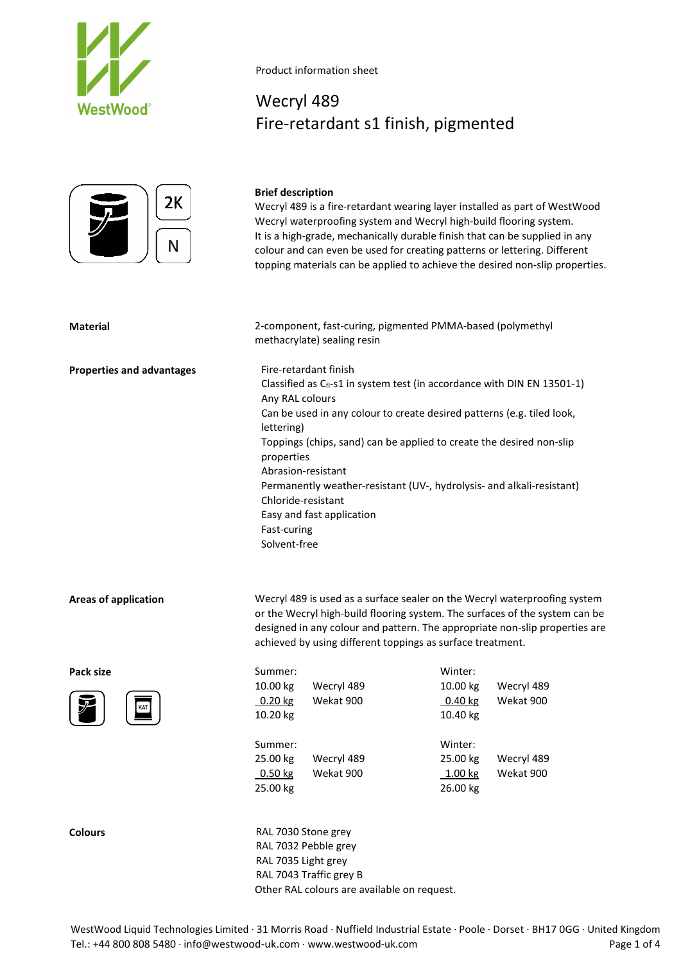



# Wecryl 489 Fire-retardant s1 finish, pigmented

# **Brief description**

Wecryl 489 is a fire-retardant wearing layer installed as part of WestWood Wecryl waterproofing system and Wecryl high-build flooring system. It is a high-grade, mechanically durable finish that can be supplied in any colour and can even be used for creating patterns or lettering. Different topping materials can be applied to achieve the desired non-slip properties.

## **Material** 2-component, fast-curing, pigmented PMMA-based (polymethyl methacrylate) sealing resin

**Properties and advantages** Fire-retardant finish Classified as  $C_{fl}$ -s1 in system test (in accordance with DIN EN 13501-1) Any RAL colours Can be used in any colour to create desired patterns (e.g. tiled look, lettering) Toppings (chips, sand) can be applied to create the desired non-slip properties Abrasion-resistant Permanently weather-resistant (UV-, hydrolysis- and alkali-resistant) Chloride-resistant Easy and fast application Fast-curing Solvent-free

**Areas of application** Wecryl 489 is used as a surface sealer on the Wecryl waterproofing system or the Wecryl high-build flooring system. The surfaces of the system can be designed in any colour and pattern. The appropriate non-slip properties are achieved by using different toppings as surface treatment.



| Pack size | Summer:                | Winter:                |
|-----------|------------------------|------------------------|
|           | 10.00 kg<br>Wecryl 489 | 10.00 kg<br>Wecryl 489 |
| KAT       | $0.20$ kg<br>Wekat 900 | Wekat 900<br>0.40 kg   |
| 之         | 10.20 kg               | 10.40 kg               |
|           | Summer:                | Winter:                |
|           | 25.00 kg<br>Wecryl 489 | Wecryl 489<br>25.00 kg |
|           | Wekat 900<br>$0.50$ kg | Wekat 900<br>1.00 kg   |
|           | 25.00 kg               | 26.00 kg               |
|           |                        |                        |

**Colours** RAL 7030 Stone grey RAL 7032 Pebble grey RAL 7035 Light grey RAL 7043 Traffic grey B Other RAL colours are available on request.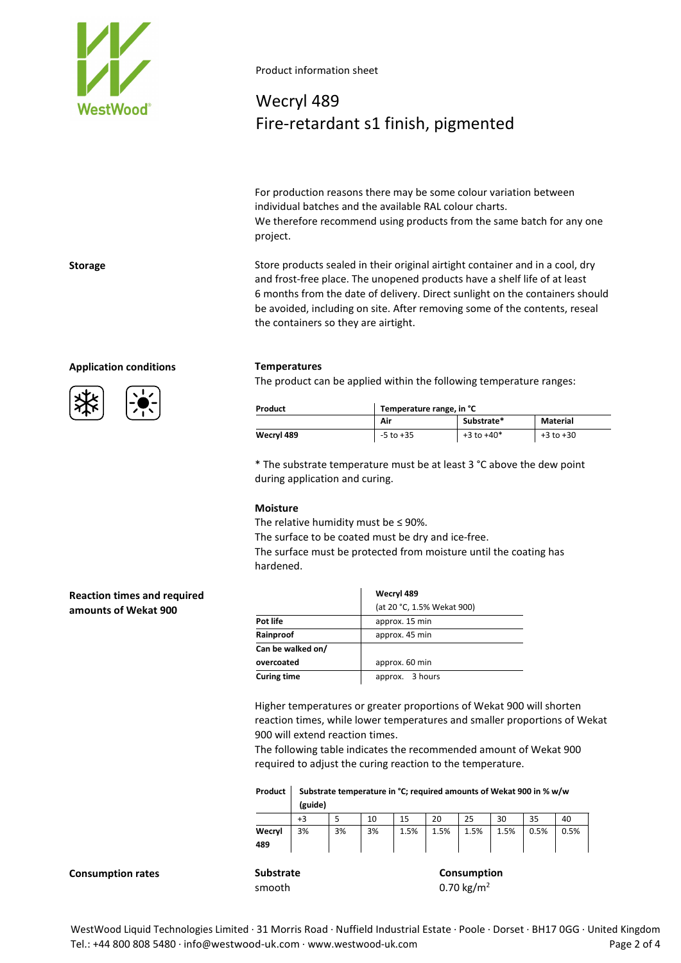

# Wecryl 489 Fire-retardant s1 finish, pigmented

For production reasons there may be some colour variation between individual batches and the available RAL colour charts. We therefore recommend using products from the same batch for any one project.

**Storage** Store products sealed in their original airtight container and in a cool, dry and frost-free place. The unopened products have a shelf life of at least 6 months from the date of delivery. Direct sunlight on the containers should be avoided, including on site. After removing some of the contents, reseal the containers so they are airtight.

## **Application conditions Temperatures**



The product can be applied within the following temperature ranges:

| Product    | Temperature range, in °C |                |               |  |  |
|------------|--------------------------|----------------|---------------|--|--|
|            | Air                      | Substrate*     | Material      |  |  |
| Wecryl 489 | $-5$ to $+35$            | $+3$ to $+40*$ | $+3$ to $+30$ |  |  |

\* The substrate temperature must be at least 3 °C above the dew point during application and curing.

### **Moisture**

The relative humidity must be  $\leq$  90%.

The surface to be coated must be dry and ice-free.

The surface must be protected from moisture until the coating has hardened.

## **Reaction times and required amounts of Wekat 900**

|                    | Wecryl 489                 |  |  |  |
|--------------------|----------------------------|--|--|--|
|                    | (at 20 °C, 1.5% Wekat 900) |  |  |  |
| Pot life           | approx. 15 min             |  |  |  |
| Rainproof          | approx. 45 min             |  |  |  |
| Can be walked on/  |                            |  |  |  |
| overcoated         | approx. 60 min             |  |  |  |
| <b>Curing time</b> | approx. 3 hours            |  |  |  |

Higher temperatures or greater proportions of Wekat 900 will shorten reaction times, while lower temperatures and smaller proportions of Wekat 900 will extend reaction times.

The following table indicates the recommended amount of Wekat 900 required to adjust the curing reaction to the temperature.

| Product   Substrate temperature in °C; required amounts of Wekat 900 in % w/w |
|-------------------------------------------------------------------------------|
| (guide)                                                                       |

|               | +3 |    | 10 | 15   | 20   | 25   | 30   | 35   | 40   |
|---------------|----|----|----|------|------|------|------|------|------|
| Wecryl<br>489 | 3% | 3% | 3% | 1.5% | 1.5% | 1.5% | 1.5% | 0.5% | 0.5% |
|               |    |    |    |      |      |      |      |      |      |

**Consumption rates Substrate Consumption Consumption** 

smooth  $0.70 \text{ kg/m}^2$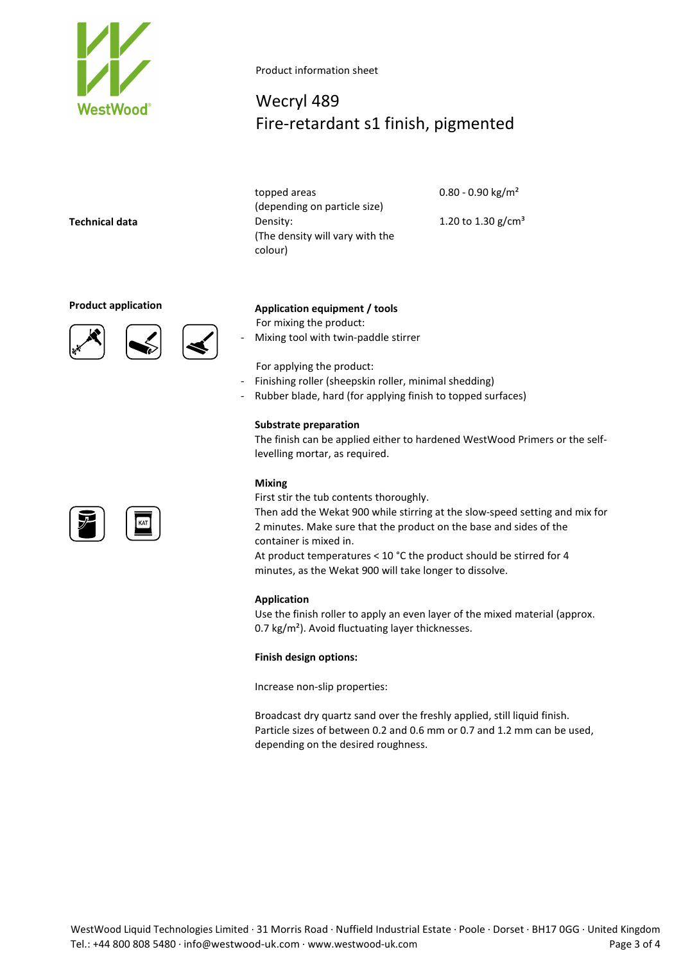

# Wecryl 489 Fire-retardant s1 finish, pigmented

topped areas (depending on particle size) **Technical data** Density: (The density will vary with the colour)

0.80 - 0.90 kg/m²

1.20 to  $1.30$  g/cm<sup>3</sup>





# **Product application Application equipment / tools**

For mixing the product:

- Mixing tool with twin-paddle stirrer

For applying the product:

- Finishing roller (sheepskin roller, minimal shedding)
- Rubber blade, hard (for applying finish to topped surfaces)

### **Substrate preparation**

The finish can be applied either to hardened WestWood Primers or the selflevelling mortar, as required.

### **Mixing**

First stir the tub contents thoroughly.

Then add the Wekat 900 while stirring at the slow-speed setting and mix for 2 minutes. Make sure that the product on the base and sides of the container is mixed in.

At product temperatures < 10 °C the product should be stirred for 4 minutes, as the Wekat 900 will take longer to dissolve.

#### **Application**

Use the finish roller to apply an even layer of the mixed material (approx. 0.7 kg/m<sup>2</sup>). Avoid fluctuating layer thicknesses.

#### **Finish design options:**

Increase non-slip properties:

Broadcast dry quartz sand over the freshly applied, still liquid finish. Particle sizes of between 0.2 and 0.6 mm or 0.7 and 1.2 mm can be used, depending on the desired roughness.